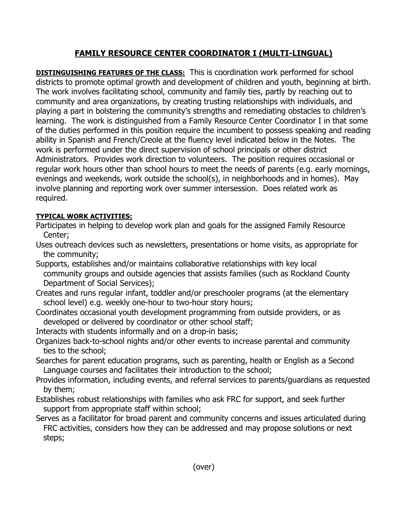## FAMILY RESOURCE CENTER COORDINATOR I (MULTI-LINGUAL)

**DISTINGUISHING FEATURES OF THE CLASS:** This is coordination work performed for school districts to promote optimal growth and development of children and youth, beginning at birth. The work involves facilitating school, community and family ties, partly by reaching out to community and area organizations, by creating trusting relationships with individuals, and playing a part in bolstering the community's strengths and remediating obstacles to children's learning. The work is distinguished from a Family Resource Center Coordinator I in that some of the duties performed in this position require the incumbent to possess speaking and reading ability in Spanish and French/Creole at the fluency level indicated below in the Notes. The work is performed under the direct supervision of school principals or other district Administrators. Provides work direction to volunteers. The position requires occasional or regular work hours other than school hours to meet the needs of parents (e.g. early mornings, evenings and weekends, work outside the school(s), in neighborhoods and in homes). May involve planning and reporting work over summer intersession. Does related work as required.

## TYPICAL WORK ACTIVITIES:

- Participates in helping to develop work plan and goals for the assigned Family Resource Center;
- Uses outreach devices such as newsletters, presentations or home visits, as appropriate for the community;
- Supports, establishes and/or maintains collaborative relationships with key local community groups and outside agencies that assists families (such as Rockland County Department of Social Services);
- Creates and runs regular infant, toddler and/or preschooler programs (at the elementary school level) e.g. weekly one-hour to two-hour story hours;
- Coordinates occasional youth development programming from outside providers, or as developed or delivered by coordinator or other school staff;
- Interacts with students informally and on a drop-in basis;
- Organizes back-to-school nights and/or other events to increase parental and community ties to the school;
- Searches for parent education programs, such as parenting, health or English as a Second Language courses and facilitates their introduction to the school;
- Provides information, including events, and referral services to parents/guardians as requested by them;
- Establishes robust relationships with families who ask FRC for support, and seek further support from appropriate staff within school;
- Serves as a facilitator for broad parent and community concerns and issues articulated during FRC activities, considers how they can be addressed and may propose solutions or next steps;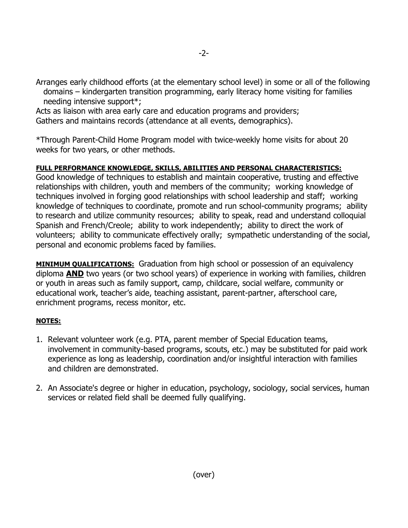Arranges early childhood efforts (at the elementary school level) in some or all of the following domains – kindergarten transition programming, early literacy home visiting for families needing intensive support\*;

Acts as liaison with area early care and education programs and providers; Gathers and maintains records (attendance at all events, demographics).

\*Through Parent-Child Home Program model with twice-weekly home visits for about 20 weeks for two years, or other methods.

## FULL PERFORMANCE KNOWLEDGE, SKILLS, ABILITIES AND PERSONAL CHARACTERISTICS:

Good knowledge of techniques to establish and maintain cooperative, trusting and effective relationships with children, youth and members of the community; working knowledge of techniques involved in forging good relationships with school leadership and staff; working knowledge of techniques to coordinate, promote and run school-community programs; ability to research and utilize community resources; ability to speak, read and understand colloquial Spanish and French/Creole; ability to work independently; ability to direct the work of volunteers; ability to communicate effectively orally; sympathetic understanding of the social, personal and economic problems faced by families.

**MINIMUM QUALIFICATIONS:** Graduation from high school or possession of an equivalency diploma AND two years (or two school years) of experience in working with families, children or youth in areas such as family support, camp, childcare, social welfare, community or educational work, teacher's aide, teaching assistant, parent-partner, afterschool care, enrichment programs, recess monitor, etc.

## NOTES:

- 1. Relevant volunteer work (e.g. PTA, parent member of Special Education teams, involvement in community-based programs, scouts, etc.) may be substituted for paid work experience as long as leadership, coordination and/or insightful interaction with families and children are demonstrated.
- 2. An Associate's degree or higher in education, psychology, sociology, social services, human services or related field shall be deemed fully qualifying.